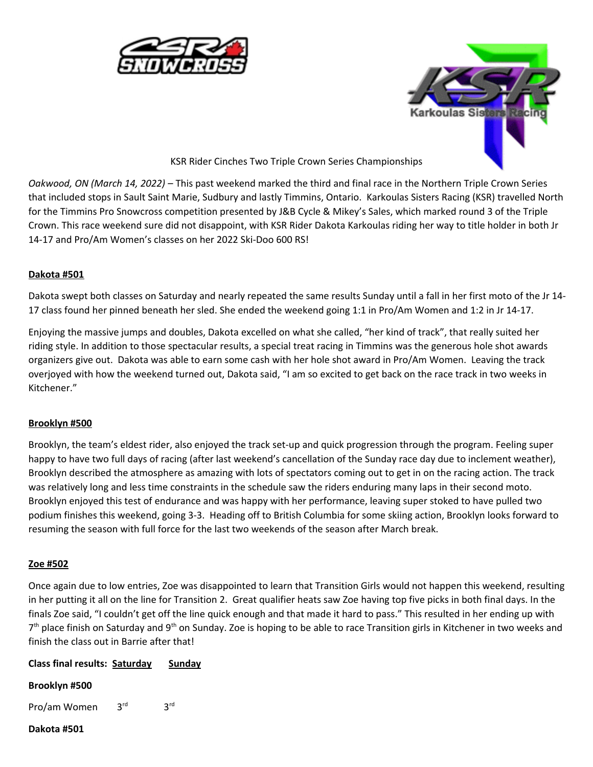



## KSR Rider Cinches Two Triple Crown Series Championships

*Oakwood, ON (March 14, 2022)* – This past weekend marked the third and final race in the Northern Triple Crown Series that included stops in Sault Saint Marie, Sudbury and lastly Timmins, Ontario. Karkoulas Sisters Racing (KSR) travelled North for the Timmins Pro Snowcross competition presented by J&B Cycle & Mikey's Sales, which marked round 3 of the Triple Crown. This race weekend sure did not disappoint, with KSR Rider Dakota Karkoulas riding her way to title holder in both Jr 14-17 and Pro/Am Women's classes on her 2022 Ski-Doo 600 RS!

## **Dakota #501**

Dakota swept both classes on Saturday and nearly repeated the same results Sunday until a fall in her first moto of the Jr 14- 17 class found her pinned beneath her sled. She ended the weekend going 1:1 in Pro/Am Women and 1:2 in Jr 14-17.

Enjoying the massive jumps and doubles, Dakota excelled on what she called, "her kind of track", that really suited her riding style. In addition to those spectacular results, a special treat racing in Timmins was the generous hole shot awards organizers give out. Dakota was able to earn some cash with her hole shot award in Pro/Am Women. Leaving the track overjoyed with how the weekend turned out, Dakota said, "I am so excited to get back on the race track in two weeks in Kitchener."

## **Brooklyn #500**

Brooklyn, the team's eldest rider, also enjoyed the track set-up and quick progression through the program. Feeling super happy to have two full days of racing (after last weekend's cancellation of the Sunday race day due to inclement weather), Brooklyn described the atmosphere as amazing with lots of spectators coming out to get in on the racing action. The track was relatively long and less time constraints in the schedule saw the riders enduring many laps in their second moto. Brooklyn enjoyed this test of endurance and was happy with her performance, leaving super stoked to have pulled two podium finishes this weekend, going 3-3. Heading off to British Columbia for some skiing action, Brooklyn looks forward to resuming the season with full force for the last two weekends of the season after March break.

#### **Zoe #502**

Once again due to low entries, Zoe was disappointed to learn that Transition Girls would not happen this weekend, resulting in her putting it all on the line for Transition 2. Great qualifier heats saw Zoe having top five picks in both final days. In the finals Zoe said, "I couldn't get off the line quick enough and that made it hard to pass." This resulted in her ending up with 7<sup>th</sup> place finish on Saturday and 9<sup>th</sup> on Sunday. Zoe is hoping to be able to race Transition girls in Kitchener in two weeks and finish the class out in Barrie after that!

# **Class final results: Saturday Sunday**

#### **Brooklyn #500**

Pro/am Women 3rd 3rd

### **Dakota #501**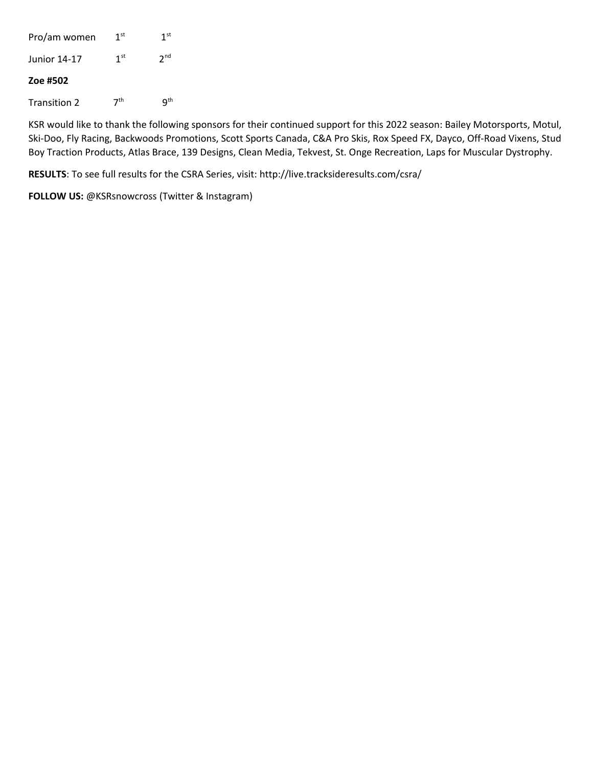Pro/am women  $1<sup>st</sup>$  1<sup>st</sup> Junior  $14-17$   $1^{st}$   $2^{nd}$ **Zoe #502** Transition 2  $7<sup>th</sup>$  9<sup>th</sup>

KSR would like to thank the following sponsors for their continued support for this 2022 season: Bailey Motorsports, Motul, Ski-Doo, Fly Racing, Backwoods Promotions, Scott Sports Canada, C&A Pro Skis, Rox Speed FX, Dayco, Off-Road Vixens, Stud Boy Traction Products, Atlas Brace, 139 Designs, Clean Media, Tekvest, St. Onge Recreation, Laps for Muscular Dystrophy.

**RESULTS**: To see full results for the CSRA Series, visit: http://live.tracksideresults.com/csra/

**FOLLOW US:** @KSRsnowcross (Twitter & Instagram)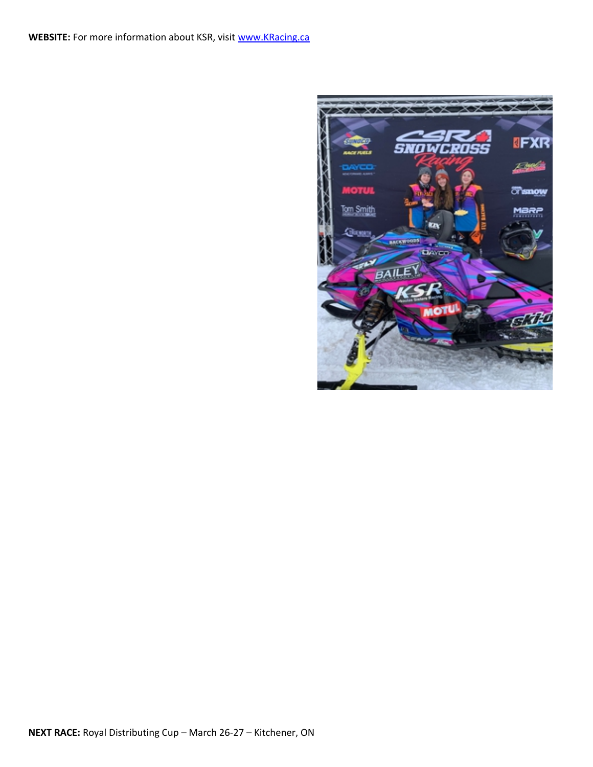